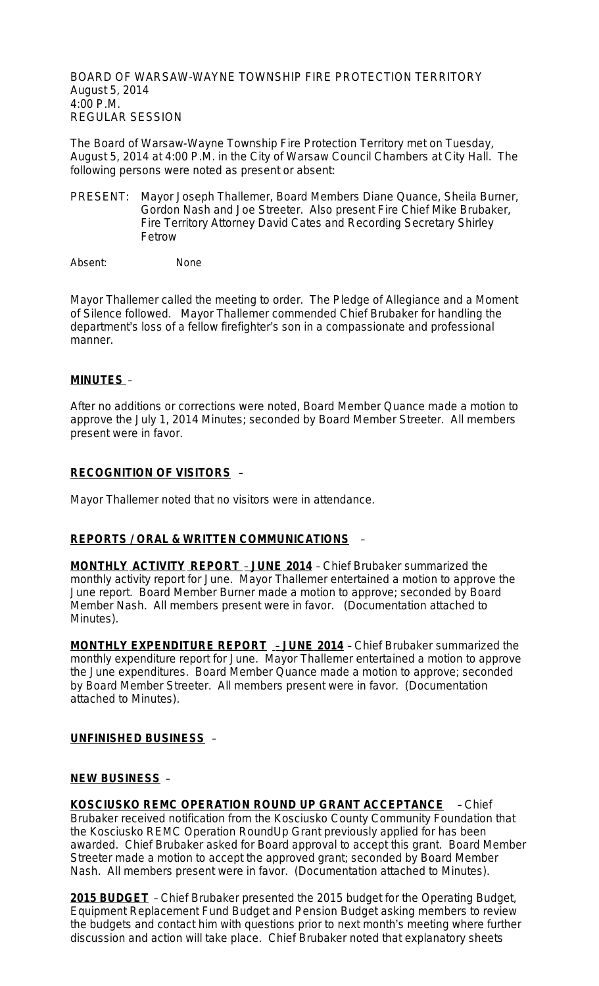BOARD OF WARSAW-WAYNE TOWNSHIP FIRE PROTECTION TERRITORY August 5, 2014 4:00 P.M. REGULAR SESSION

The Board of Warsaw-Wayne Township Fire Protection Territory met on Tuesday, August 5, 2014 at 4:00 P.M. in the City of Warsaw Council Chambers at City Hall. The following persons were noted as present or absent:

PRESENT: Mayor Joseph Thallemer, Board Members Diane Quance, Sheila Burner, Gordon Nash and Joe Streeter. Also present Fire Chief Mike Brubaker, Fire Territory Attorney David Cates and Recording Secretary Shirley Fetrow

Absent: None

Mayor Thallemer called the meeting to order. The Pledge of Allegiance and a Moment of Silence followed. Mayor Thallemer commended Chief Brubaker for handling the department's loss of a fellow firefighter's son in a compassionate and professional manner.

## **MINUTES** –

After no additions or corrections were noted, Board Member Quance made a motion to approve the July 1, 2014 Minutes; seconded by Board Member Streeter. All members present were in favor.

### **RECOGNITION OF VISITORS** –

Mayor Thallemer noted that no visitors were in attendance.

## **REPORTS / ORAL & WRITTEN COMMUNICATIONS** –

**MONTHLY ACTIVITY REPORT** – **JUNE 2014** – Chief Brubaker summarized the monthly activity report for June. Mayor Thallemer entertained a motion to approve the June report. Board Member Burner made a motion to approve; seconded by Board Member Nash. All members present were in favor. (Documentation attached to Minutes).

**MONTHLY EXPENDITURE REPORT** – **JUNE 2014** – Chief Brubaker summarized the monthly expenditure report for June. Mayor Thallemer entertained a motion to approve the June expenditures. Board Member Quance made a motion to approve; seconded by Board Member Streeter. All members present were in favor. (Documentation attached to Minutes).

#### **UNFINISHED BUSINESS** –

#### **NEW BUSINESS** –

**KOSCIUSKO REMC OPERATION ROUND UP GRANT ACCEPTANCE** – Chief Brubaker received notification from the Kosciusko County Community Foundation that the Kosciusko REMC Operation RoundUp Grant previously applied for has been awarded. Chief Brubaker asked for Board approval to accept this grant. Board Member Streeter made a motion to accept the approved grant; seconded by Board Member Nash. All members present were in favor. (Documentation attached to Minutes).

**2015 BUDGET** – Chief Brubaker presented the 2015 budget for the Operating Budget, Equipment Replacement Fund Budget and Pension Budget asking members to review the budgets and contact him with questions prior to next month's meeting where further discussion and action will take place. Chief Brubaker noted that explanatory sheets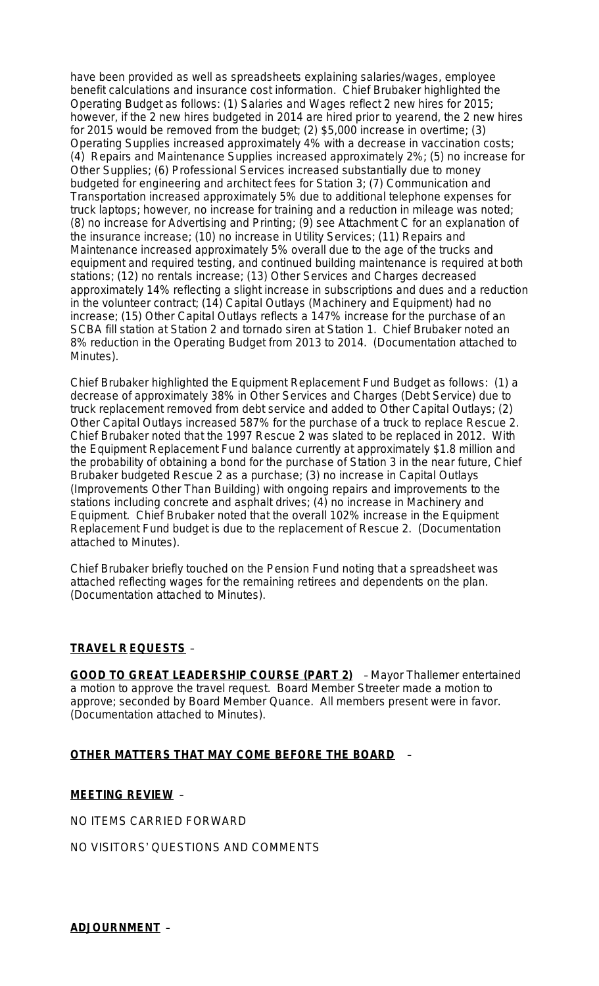have been provided as well as spreadsheets explaining salaries/wages, employee benefit calculations and insurance cost information. Chief Brubaker highlighted the Operating Budget as follows: (1) Salaries and Wages reflect 2 new hires for 2015; however, if the 2 new hires budgeted in 2014 are hired prior to yearend, the 2 new hires for 2015 would be removed from the budget; (2) \$5,000 increase in overtime; (3) Operating Supplies increased approximately 4% with a decrease in vaccination costs; (4) Repairs and Maintenance Supplies increased approximately 2%; (5) no increase for Other Supplies; (6) Professional Services increased substantially due to money budgeted for engineering and architect fees for Station 3; (7) Communication and Transportation increased approximately 5% due to additional telephone expenses for truck laptops; however, no increase for training and a reduction in mileage was noted; (8) no increase for Advertising and Printing; (9) see Attachment C for an explanation of the insurance increase; (10) no increase in Utility Services; (11) Repairs and Maintenance increased approximately 5% overall due to the age of the trucks and equipment and required testing, and continued building maintenance is required at both stations; (12) no rentals increase; (13) Other Services and Charges decreased approximately 14% reflecting a slight increase in subscriptions and dues and a reduction in the volunteer contract; (14) Capital Outlays (Machinery and Equipment) had no increase; (15) Other Capital Outlays reflects a 147% increase for the purchase of an SCBA fill station at Station 2 and tornado siren at Station 1. Chief Brubaker noted an 8% reduction in the Operating Budget from 2013 to 2014. (Documentation attached to Minutes).

Chief Brubaker highlighted the Equipment Replacement Fund Budget as follows: (1) a decrease of approximately 38% in Other Services and Charges (Debt Service) due to truck replacement removed from debt service and added to Other Capital Outlays; (2) Other Capital Outlays increased 587% for the purchase of a truck to replace Rescue 2. Chief Brubaker noted that the 1997 Rescue 2 was slated to be replaced in 2012. With the Equipment Replacement Fund balance currently at approximately \$1.8 million and the probability of obtaining a bond for the purchase of Station 3 in the near future, Chief Brubaker budgeted Rescue 2 as a purchase; (3) no increase in Capital Outlays (Improvements Other Than Building) with ongoing repairs and improvements to the stations including concrete and asphalt drives; (4) no increase in Machinery and Equipment. Chief Brubaker noted that the overall 102% increase in the Equipment Replacement Fund budget is due to the replacement of Rescue 2. (Documentation attached to Minutes).

Chief Brubaker briefly touched on the Pension Fund noting that a spreadsheet was attached reflecting wages for the remaining retirees and dependents on the plan. (Documentation attached to Minutes).

## **TRAVEL R EQUESTS** –

**GOOD TO GREAT LEADERSHIP COURSE (PART 2)** – Mayor Thallemer entertained a motion to approve the travel request. Board Member Streeter made a motion to approve; seconded by Board Member Quance. All members present were in favor. (Documentation attached to Minutes).

#### **OTHER MATTERS THAT MAY COME BEFORE THE BOARD** –

#### **MEETING REVIEW** –

NO ITEMS CARRIED FORWARD

NO VISITORS' QUESTIONS AND COMMENTS